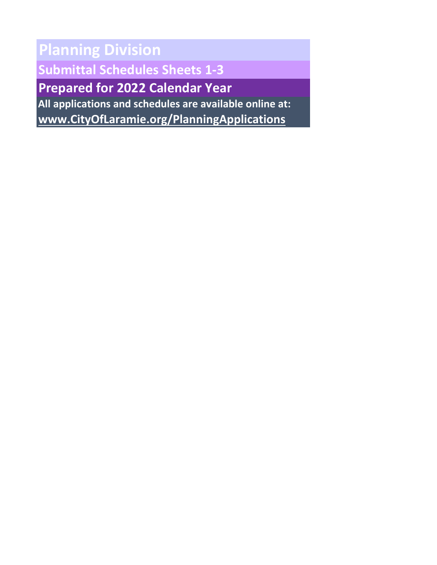**Planning Division Submittal Schedules Sheets 1-3 Prepared for 2022 Calendar Year All applications and schedules are available online at:**

**[www.CityOfLaramie.org/PlanningApplications](http://www.cityoflaramie.org/PlanningApplications)**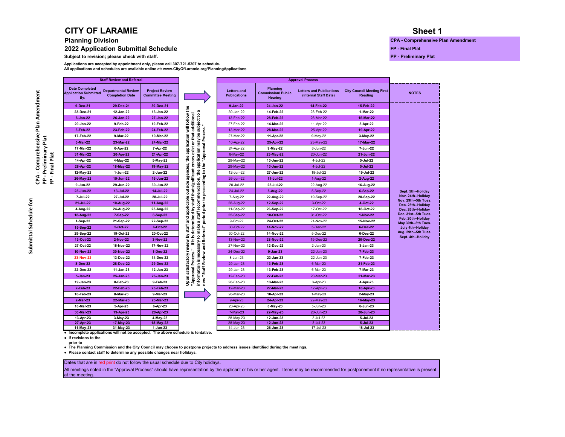#### **CITY OF LARAMIE**

#### **2022 Application Submittal Schedule Figure 1.1 Contract and Schedule Figure 1.1 Contract and Schedule Figure 1.1 Contract and Test and Plat**

**Subject to revision; please check with staff. PP - Preliminary Plat**

**All applications and schedules are available online at: www.CityOfLaramie.org/PlanningApplications Applications are accepted by appointment only, please call 307-721-5207 to schedule.**

|                                            |                                              | <b>Approval Process</b>                                  |                                                               |                                           |                                                                                                                                                                                                                                                         | <b>Staff Review and Referral</b>                  |                                                                                               |                                                              |  |  |
|--------------------------------------------|----------------------------------------------|----------------------------------------------------------|---------------------------------------------------------------|-------------------------------------------|---------------------------------------------------------------------------------------------------------------------------------------------------------------------------------------------------------------------------------------------------------|---------------------------------------------------|-----------------------------------------------------------------------------------------------|--------------------------------------------------------------|--|--|
| <b>NOTES</b>                               | <b>City Council Meeting First</b><br>Reading | <b>Letters and Publications</b><br>(Internal Staff Date) | <b>Planning</b><br><b>Commission/Public</b><br><b>Hearing</b> | <b>Letters and</b><br><b>Publications</b> |                                                                                                                                                                                                                                                         | <b>Project Review</b><br><b>Committee Meeting</b> | <b>Departmental Review</b><br><b>Completion Date</b>                                          | <b>Date Completed</b><br><b>Application Submitted</b><br>By: |  |  |
|                                            | 15-Feb-22                                    | 14-Feb-22                                                | 24-Jan-22                                                     | 9-Jan-22                                  |                                                                                                                                                                                                                                                         | 30-Dec-21                                         | 29-Dec-21                                                                                     | 9-Dec-21                                                     |  |  |
|                                            | 1-Mar-22                                     | 28-Feb-22                                                | 14-Feb-22                                                     | 30-Jan-22                                 |                                                                                                                                                                                                                                                         | 13-Jan-22                                         | 12-Jan-22                                                                                     | 23-Dec-21                                                    |  |  |
|                                            | 15-Mar-22                                    | 28-Mar-22                                                | 28-Feb-22                                                     | 13-Feb-22                                 |                                                                                                                                                                                                                                                         | 27-Jan-22                                         | 26-Jan-22                                                                                     | $6 - Jan-22$                                                 |  |  |
|                                            | 5-Apr-22                                     | 11-Apr-22                                                | 14-Mar-22                                                     | 27-Feb-22                                 |                                                                                                                                                                                                                                                         | 10-Feb-22                                         | 9-Feb-22                                                                                      | 20-Jan-22                                                    |  |  |
|                                            | 19-Apr-22                                    | 25-Apr-22                                                | 28-Mar-22                                                     | 13-Mar-22                                 |                                                                                                                                                                                                                                                         | 24-Feb-22                                         | 23-Feb-22                                                                                     | 3-Feb-22                                                     |  |  |
|                                            | 3-May-22                                     | 9-May-22                                                 | 11-Apr-22                                                     | 27-Mar-22                                 |                                                                                                                                                                                                                                                         | 10-Mar-22                                         | 9-Mar-22                                                                                      | 17-Feb-22                                                    |  |  |
|                                            | 17-May-22                                    | 23-May-22                                                | 25-Apr-22                                                     | 10-Apr-22                                 | application will follow the                                                                                                                                                                                                                             | 24-Mar-22                                         | 23-Mar-22                                                                                     | 3-Mar-22                                                     |  |  |
|                                            | 7-Jun-22                                     | 6-Jun-22                                                 | $9-May-22$                                                    | 24-Apr-22                                 |                                                                                                                                                                                                                                                         | 7-Apr-22                                          | 6-Apr-22                                                                                      | 17-Mar-22                                                    |  |  |
|                                            | 21-Jun-22                                    | 20-Jun-22                                                | 23-May-22                                                     | 8-May-22                                  |                                                                                                                                                                                                                                                         | 21-Apr-22                                         | 20-Apr-22                                                                                     | 31-Mar-22                                                    |  |  |
|                                            | 5-Jul-22                                     | 4-Jul-22                                                 | 13-Jun-22                                                     | 29-May-22                                 |                                                                                                                                                                                                                                                         | 5-May-22                                          | 4-May-22                                                                                      | 14-Apr-22                                                    |  |  |
|                                            | $5 -$ Jul $-22$                              | 4-Jul-22                                                 | 13-Jun-22                                                     | 29-May-22                                 | information is necessary to make a staff recommendation, the application may be subject to a<br>If it is determined by staff that significant errors exist or that additional<br>period prior to proceeding to the "Approval Process."<br>agencies, the | 19-May-22                                         | 18-May-22                                                                                     | 28-Apr-22                                                    |  |  |
|                                            | 19-Jul-22                                    | 18-Jul-22                                                | 27-Jun-22                                                     | 12-Jun-22                                 |                                                                                                                                                                                                                                                         | 2-Jun-22                                          | 1-Jun-22                                                                                      | 12-May-22                                                    |  |  |
|                                            | 2-Aug-22                                     | 1-Aug-22                                                 | 11-Jul-22                                                     | 26-Jun-22                                 |                                                                                                                                                                                                                                                         | 16-Jun-22                                         | 15-Jun-22                                                                                     | 26-May-22                                                    |  |  |
|                                            | 16-Aug-22                                    | 22-Aug-22                                                | 25-Jul-22                                                     | 20-Jul-22                                 | outside                                                                                                                                                                                                                                                 | 30-Jun-22                                         | 29-Jun-22                                                                                     | 9-Jun-22                                                     |  |  |
| Sept. 5th-Holiday                          | 6-Sep-22                                     | 5-Sep-22                                                 | 8-Aug-22                                                      | 24-Jul-22                                 |                                                                                                                                                                                                                                                         | 14-Jul-22                                         | 13-Jul-22                                                                                     | 23-Jun-22                                                    |  |  |
| Nov. 24th-Holiday                          | 20-Sep-22                                    | 19-Sep-22                                                | 22-Aug-22                                                     | 7-Aug-22                                  | $\overline{\mathbf{c}}$                                                                                                                                                                                                                                 | 28-Jul-22                                         | 27-Jul-22                                                                                     | 7-Jul-22                                                     |  |  |
| Nov. 29th--5th Tues.<br>Dec. 25th--Holiday | 4-Oct-22                                     | 3-Oct-22                                                 | 12-Sep-22                                                     | 28-Aug-22                                 |                                                                                                                                                                                                                                                         | 11-Aug-22                                         | 10-Aug-22                                                                                     | 21-Jul-22                                                    |  |  |
| Dec. 26th--Holiday                         | 18-Oct-22                                    | 17-Oct-22                                                | 26-Sep-22                                                     | 11-Sep-22                                 | applicabl                                                                                                                                                                                                                                               | 25-Aug-22                                         | 24-Aug-22                                                                                     | 4-Aug-22                                                     |  |  |
| Dec. 31st--5th Tues.                       | 1-Nov-22                                     | 31-Oct-22                                                | 10-Oct-22                                                     | 25-Sep-22                                 |                                                                                                                                                                                                                                                         | 8-Sep-22                                          | 7-Sep-22                                                                                      | 18-Aug-22                                                    |  |  |
| Feb. 20th--Holiday<br>May 30th--5th Tues.  | 15-Nov-22                                    | 21-Nov-22                                                | 24-Oct-22                                                     | 9-Oct-22                                  | na<br>Ta                                                                                                                                                                                                                                                | 22-Sep-22                                         | 21-Sep-22                                                                                     | 1-Sep-22                                                     |  |  |
| July 4th--Holiday                          | 6-Dec-22                                     | 5-Dec-22                                                 | 14-Nov-22                                                     | 30-Oct-22                                 | staff                                                                                                                                                                                                                                                   | 6-Oct-22                                          | 5-Oct-22                                                                                      | 15-Sep-22                                                    |  |  |
| Aug. 29th--5th Tues.                       | 6-Dec-22                                     | 5-Dec-22                                                 | 14-Nov-22                                                     | 30-Oct-22                                 | 2                                                                                                                                                                                                                                                       | 20-Oct-22                                         | 19-Oct-22                                                                                     | 29-Sep-22                                                    |  |  |
| Sept. 4th-Holiday                          | 20-Dec-22                                    | 19-Dec-22                                                | 28-Nov-22                                                     | 13-Nov-22                                 |                                                                                                                                                                                                                                                         | 3-Nov-22                                          | 2-Nov-22                                                                                      | 13-Oct-22                                                    |  |  |
|                                            | $3 - Jan-23$                                 | 2-Jan-23                                                 | 12-Dec-22                                                     | 27-Nov-22                                 | š                                                                                                                                                                                                                                                       | 17-Nov-22                                         | 16-Nov-22                                                                                     | 27-Oct-22                                                    |  |  |
|                                            | 7-Feb-23                                     | 22-Jan-23                                                | $9 - Jan-23$                                                  | 24-Dec-22                                 | Ē                                                                                                                                                                                                                                                       | 1-Dec-22                                          | 30-Nov-22                                                                                     | 10-Nov-22                                                    |  |  |
|                                            | 7-Feb-23                                     | 22-Jan-23                                                | 23-Jan-23                                                     | 8-Jan-23                                  |                                                                                                                                                                                                                                                         | 14-Dec-22                                         | 13-Dec-22                                                                                     | 23-Nov-22                                                    |  |  |
|                                            | 21-Feb-23                                    | 6-Mar-23                                                 | 13-Feb-23                                                     | 29-Jan-23                                 | new "Staff Review and Referral"<br>"Approval Process.<br>satisfactory                                                                                                                                                                                   | 29-Dec-22                                         | 28-Dec-22                                                                                     | 8-Dec-22                                                     |  |  |
|                                            | 7-Mar-23                                     | 6-Mar-23                                                 | 13-Feb-23                                                     | 29-Jan-23                                 |                                                                                                                                                                                                                                                         | 12-Jan-23                                         | 11-Jan-23                                                                                     | 22-Dec-22                                                    |  |  |
|                                            | 21-Mar-23                                    | 20-Mar-23                                                | 27-Feb-23                                                     | 12-Feb-23                                 |                                                                                                                                                                                                                                                         | 26-Jan-23                                         | 25-Jan-23                                                                                     | $5 - Jan - 23$                                               |  |  |
|                                            | 4-Apr-23                                     | 3-Apr-23                                                 | 13-Mar-23                                                     | 26-Feb-23                                 | Upon                                                                                                                                                                                                                                                    | 9-Feb-23                                          | 8-Feb-23                                                                                      | 19-Jan-23                                                    |  |  |
|                                            | 18-Apr-23                                    | 17-Apr-23                                                | 27-Mar-23                                                     | 12-Mar-23                                 |                                                                                                                                                                                                                                                         | 23-Feb-23                                         | 22-Feb-23                                                                                     | 2-Feb-23                                                     |  |  |
|                                            | 2-May-23                                     | 1-May-23                                                 | 10-Apr-23                                                     | 26-Mar-23                                 |                                                                                                                                                                                                                                                         | 9-Mar-23                                          | 8-Mar-23                                                                                      | 16-Feb-23                                                    |  |  |
|                                            | 16-May-23                                    | 22-May-23                                                | 24-Apr-23                                                     | 9-Apr-23                                  |                                                                                                                                                                                                                                                         | 23-Mar-23                                         | 22-Mar-23                                                                                     | 2-Mar-23                                                     |  |  |
|                                            | 6-Jun-23                                     | 5-Jun-23                                                 | 8-May-23                                                      | 23-Apr-23                                 |                                                                                                                                                                                                                                                         | 6-Apr-23                                          | 5-Apr-23                                                                                      | 16-Mar-23                                                    |  |  |
|                                            | 20-Jun-23                                    | 20-Jun-23                                                | 22-May-23                                                     | 7-May-23                                  |                                                                                                                                                                                                                                                         | 20-Apr-23                                         | 19-Apr-23                                                                                     | 30-Mar-23                                                    |  |  |
|                                            | 5-Jul-23                                     | 3-Jul-23                                                 | 12-Jun-23                                                     | 28-May-23                                 |                                                                                                                                                                                                                                                         | 4-May-23                                          | 3-May-23                                                                                      | 13-Apr-23                                                    |  |  |
|                                            | $5 -$ Jul $-23$                              | 3-Jul-23                                                 | 12-Jun-23                                                     | 28-May-23                                 |                                                                                                                                                                                                                                                         | 18-May-23                                         | 17-May-23                                                                                     | 27-Apr-23                                                    |  |  |
|                                            | 18-Jul-23                                    | 17-Jul-23                                                | 26-Jun-23                                                     | 14-Jun-23                                 |                                                                                                                                                                                                                                                         | 1-Jun-23                                          | 31-May-23<br>• Incomplete applications will not be accepted. The above schedule is tentative. | 11-May-23                                                    |  |  |

**● If revisions to the** 

 **prior to** 

**● The Planning Commission and the City Council may choose to postpone projects to address issues identified during the meetings.**

**● Please contact staff to determine any possible changes near holidays.**

#### Dates that are in red print do not follow the usual schedule due to City holidays.

All meetings noted in the "Approval Process" should have representation by the applicant or his or her agent. Items may be recommended for postponement if no representative is present at the meeting.

#### **Sheet 1**

**Planning Division CPA - Comprehensive Plan Amendment** 

**PP - Preliminary Plat FP - Final Plat**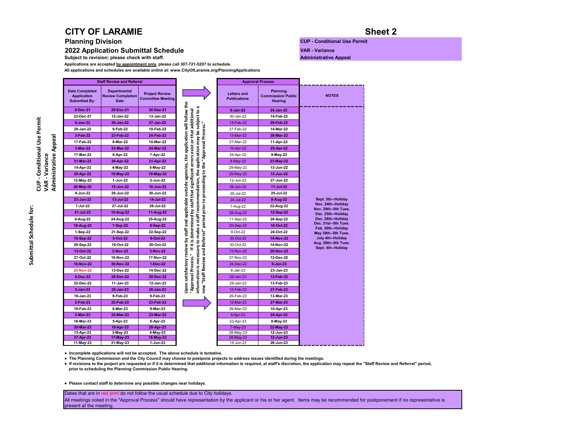### **CITY OF LARAMIE**

**2022 Application Submittal Schedule**<br>
Subject to revision; please check with staff. **Administrative Appeal** 

**Subject to revision; please check with staff.** 

**Applications are accepted by appointment only, please call 307-721-5207 to schedule.**

**All applications and schedules are available online at: www.CityOfLaramie.org/PlanningApplications** 

#### **Sheet 2**

**Planning Division CUP - Conditional Use Permit** 

|                                                                     | <b>Staff Review and Referral</b>                               |                                                   |                                                                                                                                                                                                                                                                                                                                                                  |                                           | <b>Approval Process</b>                                 |                                            |
|---------------------------------------------------------------------|----------------------------------------------------------------|---------------------------------------------------|------------------------------------------------------------------------------------------------------------------------------------------------------------------------------------------------------------------------------------------------------------------------------------------------------------------------------------------------------------------|-------------------------------------------|---------------------------------------------------------|--------------------------------------------|
| <b>Date Completed</b><br><b>Application</b><br><b>Submitted By:</b> | <b>Departmental</b><br><b>Review Completion</b><br><b>Date</b> | <b>Project Review</b><br><b>Committee Meeting</b> |                                                                                                                                                                                                                                                                                                                                                                  | <b>Letters and</b><br><b>Publications</b> | <b>Planning</b><br><b>Commission/ Public</b><br>Hearing | <b>NOTES</b>                               |
| 9-Dec-21                                                            | 29-Dec-21                                                      | 30-Dec-21                                         |                                                                                                                                                                                                                                                                                                                                                                  | 9-Jan-22                                  | 24-Jan-22                                               |                                            |
| 23-Dec-21                                                           | 12-Jan-22                                                      | 13-Jan-22                                         |                                                                                                                                                                                                                                                                                                                                                                  | 30-Jan-22                                 | 14-Feb-22                                               |                                            |
| $6 - Jan-22$                                                        | 26-Jan-22                                                      | 27-Jan-22                                         |                                                                                                                                                                                                                                                                                                                                                                  | 13-Feb-22                                 | 28-Feb-22                                               |                                            |
| 20-Jan-22                                                           | 9-Feb-22                                                       | 10-Feb-22                                         |                                                                                                                                                                                                                                                                                                                                                                  | 27-Feb-22                                 | 14-Mar-22                                               |                                            |
| 3-Feb-22                                                            | 23-Feb-22                                                      | 24-Feb-22                                         |                                                                                                                                                                                                                                                                                                                                                                  | 13-Mar-22                                 | 28-Mar-22                                               |                                            |
| 17-Feb-22                                                           | 9-Mar-22                                                       | 10-Mar-22                                         | Upon satisfactory review by staff and applicable outside agencies, the application will follow the<br>information is necessary to make a staff recommendation, the application may be subject to a<br>"Approval Process." If it is determined by staff that significant errors exist or that additional<br>period prior to proceeding to the "Approval Process." | 27-Mar-22                                 | 11-Apr-22                                               |                                            |
| 3-Mar-22                                                            | 23-Mar-22                                                      | 24-Mar-22                                         |                                                                                                                                                                                                                                                                                                                                                                  | 10-Apr-22                                 | 25-Apr-22                                               |                                            |
| 17-Mar-22                                                           | 6-Apr-22                                                       | 7-Apr-22                                          |                                                                                                                                                                                                                                                                                                                                                                  | 24-Apr-22                                 | 9-May-22                                                |                                            |
| 31-Mar-22                                                           | 20-Apr-22                                                      | 21-Apr-22                                         |                                                                                                                                                                                                                                                                                                                                                                  | 8-May-22                                  | 23-May-22                                               |                                            |
| 14-Apr-22                                                           | 4-May-22                                                       | 5-May-22                                          |                                                                                                                                                                                                                                                                                                                                                                  | 29-May-22                                 | 13-Jun-22                                               |                                            |
| 28-Apr-22                                                           | 18-May-22                                                      | 19-May-22                                         |                                                                                                                                                                                                                                                                                                                                                                  | 29-May-22                                 | 13-Jun-22                                               |                                            |
| 12-May-22                                                           | 1-Jun-22                                                       | 2-Jun-22                                          |                                                                                                                                                                                                                                                                                                                                                                  | 12-Jun-22                                 | 27-Jun-22                                               |                                            |
| 26-May-22                                                           | 15-Jun-22                                                      | 16-Jun-22                                         |                                                                                                                                                                                                                                                                                                                                                                  | 26-Jun-22                                 | 11-Jul-22                                               |                                            |
| 9-Jun-22                                                            | 29-Jun-22                                                      | 30-Jun-22                                         |                                                                                                                                                                                                                                                                                                                                                                  | 20-Jul-22                                 | 25-Jul-22                                               |                                            |
| 23-Jun-22                                                           | 13-Jul-22                                                      | 14-Jul-22                                         |                                                                                                                                                                                                                                                                                                                                                                  | 24-Jul-22                                 | 8-Aug-22                                                | Sept. 5th--Holiday                         |
| 7-Jul-22                                                            | 27-Jul-22                                                      | 28-Jul-22                                         |                                                                                                                                                                                                                                                                                                                                                                  | 7-Aug-22                                  | 22-Aug-22                                               | Nov. 24th--Holiday<br>Nov. 29th--5th Tues. |
| 21-Jul-22                                                           | 10-Aug-22                                                      | 11-Aug-22                                         |                                                                                                                                                                                                                                                                                                                                                                  | 28-Aug-22                                 | 12-Sep-22                                               | Dec. 25th--Holiday                         |
| 4-Aug-22                                                            | 24-Aug-22                                                      | 25-Aug-22                                         |                                                                                                                                                                                                                                                                                                                                                                  | 11-Sep-22                                 | 26-Sep-22                                               | Dec. 26th--Holiday                         |
| 18-Aug-22                                                           | 7-Sep-22                                                       | 8-Sep-22                                          |                                                                                                                                                                                                                                                                                                                                                                  | 25-Sep-22                                 | 10-Oct-22                                               | Dec. 31st--5th Tues.<br>Feb. 20th--Holiday |
| 1-Sep-22                                                            | 21-Sep-22                                                      | 22-Sep-22                                         |                                                                                                                                                                                                                                                                                                                                                                  | 9-Oct-22                                  | 24-Oct-22                                               | May 30th--5th Tues.                        |
| 15-Sep-22                                                           | 5-Oct-22                                                       | 6-Oct-22                                          |                                                                                                                                                                                                                                                                                                                                                                  | 30-Oct-22                                 | 14-Nov-22                                               | July 4th--Holiday                          |
| 29-Sep-22                                                           | 19-Oct-22                                                      | 20-Oct-22                                         |                                                                                                                                                                                                                                                                                                                                                                  | 30-Oct-22                                 | 14-Nov-22                                               | Aug. 29th--5th Tues.<br>Sept. 4th--Holiday |
| 13-Oct-22                                                           | 2-Nov-22                                                       | 3-Nov-22                                          |                                                                                                                                                                                                                                                                                                                                                                  | 13-Nov-22                                 | 28-Nov-22                                               |                                            |
| 27-Oct-22                                                           | 16-Nov-22                                                      | 17-Nov-22                                         |                                                                                                                                                                                                                                                                                                                                                                  | 27-Nov-22                                 | 12-Dec-22                                               |                                            |
| 10-Nov-22                                                           | 30-Nov-22                                                      | 1-Dec-22                                          |                                                                                                                                                                                                                                                                                                                                                                  | 24-Dec-22                                 | $9 - Jan - 23$                                          |                                            |
| 23-Nov-22                                                           | 13-Dec-22                                                      | 14-Dec-22                                         | new "Staff Review and Referral"                                                                                                                                                                                                                                                                                                                                  | 8-Jan-23                                  | 23-Jan-23                                               |                                            |
| 8-Dec-22                                                            | 28-Dec-22                                                      | 29-Dec-22                                         |                                                                                                                                                                                                                                                                                                                                                                  | 29-Jan-23                                 | 13-Feb-23                                               |                                            |
| 22-Dec-22                                                           | 11-Jan-23                                                      | 12-Jan-23                                         |                                                                                                                                                                                                                                                                                                                                                                  | 29-Jan-23                                 | 13-Feb-23                                               |                                            |
| $5 - Jan-23$                                                        | 25-Jan-23                                                      | 26-Jan-23                                         |                                                                                                                                                                                                                                                                                                                                                                  | 12-Feb-23                                 | 27-Feb-23                                               |                                            |
| 19-Jan-23                                                           | 8-Feb-23                                                       | 9-Feb-23                                          |                                                                                                                                                                                                                                                                                                                                                                  | 26-Feb-23                                 | 13-Mar-23                                               |                                            |
| 2-Feb-23                                                            | 22-Feb-23                                                      | 23-Feb-23                                         |                                                                                                                                                                                                                                                                                                                                                                  | 12-Mar-23                                 | 27-Mar-23                                               |                                            |
| 16-Feb-23                                                           | 8-Mar-23                                                       | 9-Mar-23                                          |                                                                                                                                                                                                                                                                                                                                                                  | 26-Mar-23                                 | 10-Apr-23                                               |                                            |
| 2-Mar-23                                                            | 22-Mar-23                                                      | 23-Mar-23                                         |                                                                                                                                                                                                                                                                                                                                                                  | 9-Apr-23                                  | 24-Apr-23                                               |                                            |
| 16-Mar-23                                                           | 5-Apr-23                                                       | 6-Apr-23                                          |                                                                                                                                                                                                                                                                                                                                                                  | 23-Apr-23                                 | 8-May-23                                                |                                            |
| 30-Mar-23                                                           | 19-Apr-23                                                      | 20-Apr-23                                         |                                                                                                                                                                                                                                                                                                                                                                  | $7-May-23$                                | 22-May-23                                               |                                            |
| 13-Apr-23<br>27-Apr-23                                              | $3-May-23$<br>17-May-23                                        | 4-May-23<br>18-May-23                             |                                                                                                                                                                                                                                                                                                                                                                  | 28-May-23<br>28-May-23                    | 12-Jun-23<br>12-Jun-23                                  |                                            |
| 11-May-23                                                           | 31-May-23                                                      | 1-Jun-23                                          |                                                                                                                                                                                                                                                                                                                                                                  | 14-Jun-23                                 | 26-Jun-23                                               |                                            |

**● Incomplete applications will not be accepted. The above schedule is tentative.** 

**● The Planning Commission and the City Council may choose to postpone projects to address issues identified during the meetings.**

**● If revisions to the project are requested or if it is determined that additional information is required, at staff's discretion, the application may repeat the "Staff Review and Referral" period, prior to scheduling the Planning Commission Public Hearing.**

**● Please contact staff to determine any possible changes near holidays.**

Dates that are in red print do not follow the usual schedule due to City holidays.

All meetings noted in the "Approval Process" should have representation by the applicant or his or her agent. Items may be recommended for postponement if no representative is present at the meeting.

**VAR - Variance Administrative Appeal**